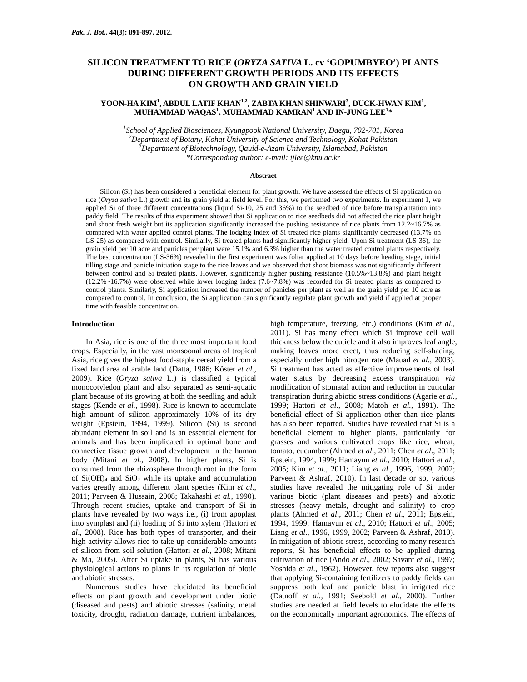# **SILICON TREATMENT TO RICE (***ORYZA SATIVA* **L. cv 'GOPUMBYEO') PLANTS DURING DIFFERENT GROWTH PERIODS AND ITS EFFECTS ON GROWTH AND GRAIN YIELD**

## <code>YOON-HA KIM<sup>1</sup>, ABDUL LATIF KHAN<sup>1,2</sup>, ZABTA KHAN SHINWARI<sup>3</sup>, DUCK-HWAN KIM<sup>1</sup>,</code> **MUHAMMAD WAQAS<sup>1</sup> , MUHAMMAD KAMRAN1 AND IN-JUNG LEE<sup>1</sup> \***

*1 School of Applied Biosciences, Kyungpook National University, Daegu, 702-701, Korea 2 Department of Botany, Kohat University of Science and Technology, Kohat Pakistan 3 Department of Biotechnology, Qauid-e-Azam University, Islamabad, Pakistan \*Corresponding author: e-mail: ijlee@knu.ac.kr* 

#### **Abstract**

Silicon (Si) has been considered a beneficial element for plant growth. We have assessed the effects of Si application on rice (*Oryza sativa* L.) growth and its grain yield at field level. For this, we performed two experiments. In experiment 1, we applied Si of three different concentrations (liquid Si-10, 25 and 36%) to the seedbed of rice before transplantation into paddy field. The results of this experiment showed that Si application to rice seedbeds did not affected the rice plant height and shoot fresh weight but its application significantly increased the pushing resistance of rice plants from 12.2~16.7% as compared with water applied control plants. The lodging index of Si treated rice plants significantly decreased (13.7% on LS-25) as compared with control. Similarly, Si treated plants had significantly higher yield. Upon Si treatment (LS-36), the grain yield per 10 acre and panicles per plant were 15.1% and 6.3% higher than the water treated control plants respectively. The best concentration (LS-36%) revealed in the first experiment was foliar applied at 10 days before heading stage, initial tilling stage and panicle initiation stage to the rice leaves and we observed that shoot biomass was not significantly different between control and Si treated plants. However, significantly higher pushing resistance (10.5%~13.8%) and plant height (12.2%~16.7%) were observed while lower lodging index (7.6~7.8%) was recorded for Si treated plants as compared to control plants. Similarly, Si application increased the number of panicles per plant as well as the grain yield per 10 acre as compared to control. In conclusion, the Si application can significantly regulate plant growth and yield if applied at proper time with feasible concentration.

#### **Introduction**

In Asia, rice is one of the three most important food crops. Especially, in the vast monsoonal areas of tropical Asia, rice gives the highest food-staple cereal yield from a fixed land area of arable land (Datta, 1986; Köster *et al.,* 2009). Rice (*Oryza sativa* L.) is classified a typical monocotyledon plant and also separated as semi-aquatic plant because of its growing at both the seedling and adult stages (Kende *et al.,* 1998). Rice is known to accumulate high amount of silicon approximately 10% of its dry weight (Epstein, 1994, 1999). Silicon (Si) is second abundant element in soil and is an essential element for animals and has been implicated in optimal bone and connective tissue growth and development in the human body (Mitani *et al.,* 2008). In higher plants, Si is consumed from the rhizosphere through root in the form of  $Si(OH)_4$  and  $SiO_2$  while its uptake and accumulation varies greatly among different plant species (Kim *et al.,* 2011; Parveen & Hussain, 2008; Takahashi *et al.,* 1990). Through recent studies, uptake and transport of Si in plants have revealed by two ways i.e., (i) from apoplast into symplast and (ii) loading of Si into xylem (Hattori *et al*., 2008). Rice has both types of transporter, and their high activity allows rice to take up considerable amounts of silicon from soil solution (Hattori *et al.,* 2008; Mitani & Ma, 2005). After Si uptake in plants, Si has various physiological actions to plants in its regulation of biotic and abiotic stresses.

Numerous studies have elucidated its beneficial effects on plant growth and development under biotic (diseased and pests) and abiotic stresses (salinity, metal toxicity, drought, radiation damage, nutrient imbalances,

high temperature, freezing, etc.) conditions (Kim *et al.,* 2011). Si has many effect which Si improve cell wall thickness below the cuticle and it also improves leaf angle, making leaves more erect, thus reducing self-shading, especially under high nitrogen rate (Mauad *et al.,* 2003). Si treatment has acted as effective improvements of leaf water status by decreasing excess transpiration *via* modification of stomatal action and reduction in cuticular transpiration during abiotic stress conditions (Agarie *et al.,* 1999; Hattori *et al.,* 2008; Matoh *et al.,* 1991). The beneficial effect of Si application other than rice plants has also been reported. Studies have revealed that Si is a beneficial element to higher plants, particularly for grasses and various cultivated crops like rice, wheat, tomato, cucumber (Ahmed *et al*., 2011; Chen *et al*., 2011; Epstein, 1994, 1999; Hamayun *et al*., 2010; Hattori *et al*., 2005; Kim *et al*., 2011; Liang *et al*., 1996, 1999, 2002; Parveen & Ashraf, 2010). In last decade or so, various studies have revealed the mitigating role of Si under various biotic (plant diseases and pests) and abiotic stresses (heavy metals, drought and salinity) to crop plants (Ahmed *et al*., 2011; Chen *et al*., 2011; Epstein, 1994, 1999; Hamayun *et al*., 2010; Hattori *et al*., 2005; Liang *et al*., 1996, 1999, 2002; Parveen & Ashraf, 2010). In mitigation of abiotic stress, according to many research reports, Si has beneficial effects to be applied during cultivation of rice (Ando *et al*., 2002; Savant *et al*., 1997; Yoshida *et al*., 1962). However, few reports also suggest that applying Si-containing fertilizers to paddy fields can suppress both leaf and panicle blast in irrigated rice (Datnoff *et al.,* 1991; Seebold *et al.,* 2000). Further studies are needed at field levels to elucidate the effects on the economically important agronomics. The effects of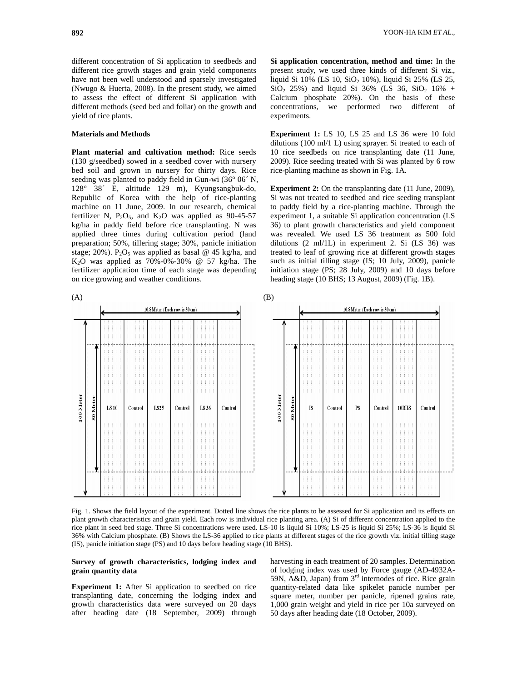different concentration of Si application to seedbeds and different rice growth stages and grain yield components have not been well understood and sparsely investigated (Nwugo & Huerta, 2008). In the present study, we aimed to assess the effect of different Si application with different methods (seed bed and foliar) on the growth and yield of rice plants.

## **Materials and Methods**

**Plant material and cultivation method:** Rice seeds (130 g/seedbed) sowed in a seedbed cover with nursery bed soil and grown in nursery for thirty days. Rice seeding was planted to paddy field in Gun-wi (36° 06´ N, 128° 38´ E, altitude 129 m), Kyungsangbuk-do, Republic of Korea with the help of rice-planting machine on 11 June, 2009. In our research, chemical fertilizer N,  $P_2O_5$ , and K<sub>2</sub>O was applied as 90-45-57 kg/ha in paddy field before rice transplanting. N was applied three times during cultivation period (land preparation; 50%, tillering stage; 30%, panicle initiation stage; 20%). P<sub>2</sub>O<sub>5</sub> was applied as basal @ 45 kg/ha, and  $K<sub>2</sub>O$  was applied as 70%-0%-30% @ 57 kg/ha. The fertilizer application time of each stage was depending on rice growing and weather conditions.

**Si application concentration, method and time:** In the present study, we used three kinds of different Si viz., liquid Si  $10\%$  (LS  $10$ , SiO<sub>2</sub>  $10\%$ ), liquid Si  $25\%$  (LS  $25$ ,  $SiO<sub>2</sub> 25%$  and liquid Si 36% (LS 36, SiO<sub>2</sub> 16% + Calcium phosphate 20%). On the basis of these concentrations, we performed two different of experiments.

**Experiment 1:** LS 10, LS 25 and LS 36 were 10 fold dilutions (100 ml/1 L) using sprayer. Si treated to each of 10 rice seedbeds on rice transplanting date (11 June, 2009). Rice seeding treated with Si was planted by 6 row rice-planting machine as shown in Fig. 1A.

**Experiment 2:** On the transplanting date (11 June, 2009), Si was not treated to seedbed and rice seeding transplant to paddy field by a rice-planting machine. Through the experiment 1, a suitable Si application concentration (LS 36) to plant growth characteristics and yield component was revealed. We used LS 36 treatment as 500 fold dilutions (2 ml/1L) in experiment 2. Si (LS 36) was treated to leaf of growing rice at different growth stages such as initial tilling stage (IS; 10 July, 2009), panicle initiation stage (PS; 28 July, 2009) and 10 days before heading stage (10 BHS; 13 August, 2009) (Fig. 1B).



Fig. 1. Shows the field layout of the experiment. Dotted line shows the rice plants to be assessed for Si application and its effects on plant growth characteristics and grain yield. Each row is individual rice planting area. (A) Si of different concentration applied to the rice plant in seed bed stage. Three Si concentrations were used. LS-10 is liquid Si 10%; LS-25 is liquid Si 25%; LS-36 is liquid Si 36% with Calcium phosphate. (B) Shows the LS-36 applied to rice plants at different stages of the rice growth viz. initial tilling stage (IS), panicle initiation stage (PS) and 10 days before heading stage (10 BHS).

## **Survey of growth characteristics, lodging index and grain quantity data**

**Experiment 1:** After Si application to seedbed on rice transplanting date, concerning the lodging index and growth characteristics data were surveyed on 20 days after heading date (18 September, 2009) through harvesting in each treatment of 20 samples. Determination of lodging index was used by Force gauge (AD-4932A-59N,  $\widehat{A \& D}$ , Japan) from  $3^{rd}$  internodes of rice. Rice grain quantity-related data like spikelet panicle number per square meter, number per panicle, ripened grains rate, 1,000 grain weight and yield in rice per 10a surveyed on 50 days after heading date (18 October, 2009).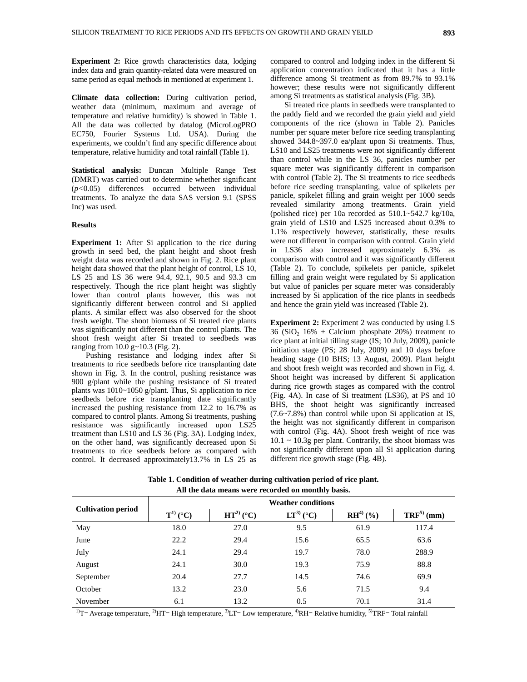**Experiment 2:** Rice growth characteristics data, lodging index data and grain quantity-related data were measured on same period as equal methods in mentioned at experiment 1.

**Climate data collection:** During cultivation period, weather data (minimum, maximum and average of temperature and relative humidity) is showed in Table 1. All the data was collected by datalog (MicroLogPRO EC750, Fourier Systems Ltd. USA). During the experiments, we couldn't find any specific difference about temperature, relative humidity and total rainfall (Table 1).

**Statistical analysis:** Duncan Multiple Range Test (DMRT) was carried out to determine whether significant (*p<*0.05) differences occurred between individual treatments. To analyze the data SAS version 9.1 (SPSS Inc) was used.

### **Results**

**Experiment 1:** After Si application to the rice during growth in seed bed, the plant height and shoot fresh weight data was recorded and shown in Fig. 2. Rice plant height data showed that the plant height of control,  $\overline{LS}$  10, LS 25 and LS 36 were 94.4, 92.1, 90.5 and 93.3 cm respectively. Though the rice plant height was slightly lower than control plants however, this was not significantly different between control and Si applied plants. A similar effect was also observed for the shoot fresh weight. The shoot biomass of Si treated rice plants was significantly not different than the control plants. The shoot fresh weight after Si treated to seedbeds was ranging from 10.0 g~10.3 (Fig. 2).

Pushing resistance and lodging index after Si treatments to rice seedbeds before rice transplanting date shown in Fig. 3. In the control, pushing resistance was 900 g/plant while the pushing resistance of Si treated plants was 1010~1050 g/plant. Thus, Si application to rice seedbeds before rice transplanting date significantly increased the pushing resistance from 12.2 to 16.7% as compared to control plants. Among Si treatments, pushing resistance was significantly increased upon LS25 treatment than LS10 and LS 36 (Fig. 3A). Lodging index, on the other hand, was significantly decreased upon Si treatments to rice seedbeds before as compared with control. It decreased approximately13.7% in LS 25 as compared to control and lodging index in the different Si application concentration indicated that it has a little difference among Si treatment as from 89.7% to 93.1% however; these results were not significantly different among Si treatments as statistical analysis (Fig. 3B).

Si treated rice plants in seedbeds were transplanted to the paddy field and we recorded the grain yield and yield components of the rice (shown in Table 2). Panicles number per square meter before rice seeding transplanting showed 344.8~397.0 ea/plant upon Si treatments. Thus, LS10 and LS25 treatments were not significantly different than control while in the LS 36, panicles number per square meter was significantly different in comparison with control (Table 2). The Si treatments to rice seedbeds before rice seeding transplanting, value of spikelets per panicle, spikelet filling and grain weight per 1000 seeds revealed similarity among treatments. Grain yield (polished rice) per 10a recorded as 510.1~542.7 kg/10a, grain yield of LS10 and LS25 increased about 0.3% to 1.1% respectively however, statistically, these results were not different in comparison with control. Grain yield in LS36 also increased approximately 6.3% as comparison with control and it was significantly different (Table 2). To conclude, spikelets per panicle, spikelet filling and grain weight were regulated by Si application but value of panicles per square meter was considerably increased by Si application of the rice plants in seedbeds and hence the grain yield was increased (Table 2).

**Experiment 2:** Experiment 2 was conducted by using LS  $36$  (SiO<sub>2</sub> 16% + Calcium phosphate 20%) treatment to rice plant at initial tilling stage (IS; 10 July, 2009), panicle initiation stage (PS; 28 July, 2009) and 10 days before heading stage (10 BHS; 13 August, 2009). Plant height and shoot fresh weight was recorded and shown in Fig. 4. Shoot height was increased by different Si application during rice growth stages as compared with the control (Fig. 4A). In case of Si treatment (LS36), at PS and 10 BHS, the shoot height was significantly increased (7.6~7.8%) than control while upon Si application at IS, the height was not significantly different in comparison with control (Fig. 4A). Shoot fresh weight of rice was  $10.1 \sim 10.3$ g per plant. Contrarily, the shoot biomass was not significantly different upon all Si application during different rice growth stage (Fig. 4B).

**Table 1. Condition of weather during cultivation period of rice plant. All the data means were recorded on monthly basis.** 

| <b>Cultivation period</b> | <b>Weather conditions</b> |                |                |               |                       |  |
|---------------------------|---------------------------|----------------|----------------|---------------|-----------------------|--|
|                           | $T^{1)}$ (°C)             | $HT^{2)}$ (°C) | $LT^{3)}$ (°C) | $RH^{4)}$ (%) | $\text{TRF}^{5}$ (mm) |  |
| May                       | 18.0                      | 27.0           | 9.5            | 61.9          | 117.4                 |  |
| June                      | 22.2                      | 29.4           | 15.6           | 65.5          | 63.6                  |  |
| July                      | 24.1                      | 29.4           | 19.7           | 78.0          | 288.9                 |  |
| August                    | 24.1                      | 30.0           | 19.3           | 75.9          | 88.8                  |  |
| September                 | 20.4                      | 27.7           | 14.5           | 74.6          | 69.9                  |  |
| October                   | 13.2                      | 23.0           | 5.6            | 71.5          | 9.4                   |  |
| November                  | 6.1                       | 13.2           | 0.5            | 70.1          | 31.4                  |  |

<sup>1)</sup>T= Average temperature, <sup>2)</sup>HT= High temperature, <sup>3)</sup>LT= Low temperature, <sup>4)</sup>RH= Relative humidity, <sup>5)</sup>TRF= Total rainfall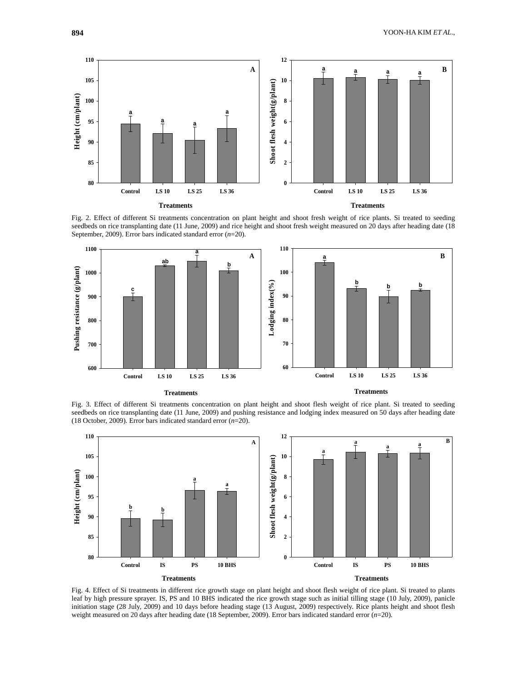

Fig. 2. Effect of different Si treatments concentration on plant height and shoot fresh weight of rice plants. Si treated to seeding seedbeds on rice transplanting date (11 June, 2009) and rice height and shoot fresh weight measured on 20 days after heading date (18 September, 2009). Error bars indicated standard error (*n*=20).



Fig. 3. Effect of different Si treatments concentration on plant height and shoot flesh weight of rice plant. Si treated to seeding seedbeds on rice transplanting date (11 June, 2009) and pushing resistance and lodging index measured on 50 days after heading date (18 October, 2009). Error bars indicated standard error (*n*=20).



Fig. 4. Effect of Si treatments in different rice growth stage on plant height and shoot flesh weight of rice plant. Si treated to plants leaf by high pressure sprayer. IS, PS and 10 BHS indicated the rice growth stage such as initial tilling stage (10 July, 2009), panicle initiation stage (28 July, 2009) and 10 days before heading stage (13 August, 2009) respectively. Rice plants height and shoot flesh weight measured on 20 days after heading date (18 September, 2009). Error bars indicated standard error (*n*=20).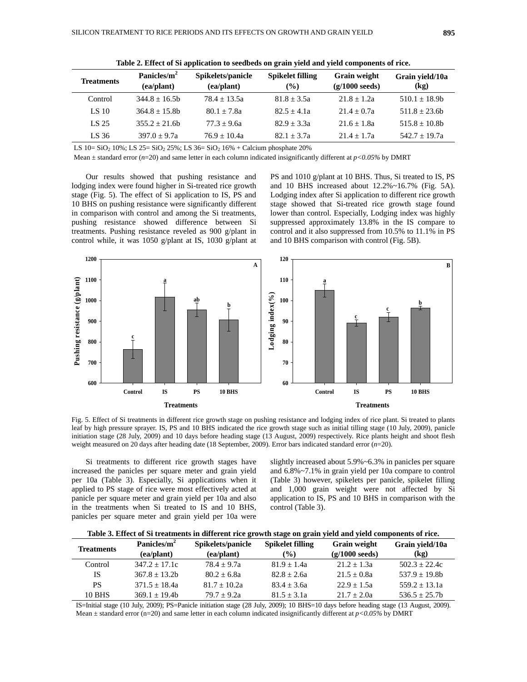|                   | Panicles/m <sup>2</sup> | Spikelets/panicle | <b>Spikelet filling</b> |                                          |                         |
|-------------------|-------------------------|-------------------|-------------------------|------------------------------------------|-------------------------|
| <b>Treatments</b> | (ea/plant)              | (ea/plant)        | $($ %)                  | Grain weight<br>$(g/1000 \text{ seeds})$ | Grain yield/10a<br>(kg) |
| Control           | $344.8 + 16.5h$         | $78.4 + 13.5a$    | $81.8 + 3.5a$           | $21.8 + 1.2a$                            | $510.1 + 18.9$          |
| LS 10             | $364.8 + 15.8$          | $80.1 + 7.8a$     | $82.5 + 4.1a$           | $21.4 + 0.7a$                            | $511.8 + 23.6b$         |
| LS 25             | $355.2 + 21.6$ h        | $77.3 + 9.6a$     | $82.9 + 3.3a$           | $21.6 + 1.8a$                            | $515.8 \pm 10.8$ b      |
| LS 36             | $397.0 + 9.7a$          | $76.9 + 10.4a$    | $82.1 + 3.7a$           | $21.4 + 1.7a$                            | $542.7 + 19.7a$         |

**Table 2. Effect of Si application to seedbeds on grain yield and yield components of rice.** 

LS 10=  $SiO_2$  10%; LS 25=  $SiO_2$  25%; LS 36=  $SiO_2$  16% + Calcium phosphate 20%

Mean  $\pm$  standard error ( $n=20$ ) and same letter in each column indicated insignificantly different at  $p<0.05\%$  by DMRT

Our results showed that pushing resistance and lodging index were found higher in Si-treated rice growth stage (Fig. 5). The effect of Si application to IS, PS and 10 BHS on pushing resistance were significantly different in comparison with control and among the Si treatments, pushing resistance showed difference between Si treatments. Pushing resistance reveled as 900 g/plant in control while, it was 1050 g/plant at IS, 1030 g/plant at PS and 1010 g/plant at 10 BHS. Thus, Si treated to IS, PS and 10 BHS increased about 12.2%~16.7% (Fig. 5A). Lodging index after Si application to different rice growth stage showed that Si-treated rice growth stage found lower than control. Especially, Lodging index was highly suppressed approximately 13.8% in the IS compare to control and it also suppressed from 10.5% to 11.1% in PS and 10 BHS comparison with control (Fig. 5B).



Fig. 5. Effect of Si treatments in different rice growth stage on pushing resistance and lodging index of rice plant. Si treated to plants leaf by high pressure sprayer. IS, PS and 10 BHS indicated the rice growth stage such as initial tilling stage (10 July, 2009), panicle initiation stage (28 July, 2009) and 10 days before heading stage (13 August, 2009) respectively. Rice plants height and shoot flesh weight measured on 20 days after heading date (18 September, 2009). Error bars indicated standard error (*n*=20).

Si treatments to different rice growth stages have increased the panicles per square meter and grain yield per 10a (Table 3). Especially, Si applications when it applied to PS stage of rice were most effectively acted at panicle per square meter and grain yield per 10a and also in the treatments when Si treated to IS and 10 BHS, panicles per square meter and grain yield per 10a were

slightly increased about 5.9%~6.3% in panicles per square and 6.8%~7.1% in grain yield per 10a compare to control (Table 3) however, spikelets per panicle, spikelet filling and 1,000 grain weight were not affected by Si application to IS, PS and 10 BHS in comparison with the control (Table 3).

|  | Table 3. Effect of Si treatments in different rice growth stage on grain yield and yield components of rice. |  |  |  |
|--|--------------------------------------------------------------------------------------------------------------|--|--|--|
|--|--------------------------------------------------------------------------------------------------------------|--|--|--|

| <b>Treatments</b> | Panicles/m <sup>2</sup><br>(ea/plant) | Spikelets/panicle<br>(ea/plant) | <b>Spikelet filling</b><br>$(\%)$ | Grain weight<br>$(g/1000 \text{ seeds})$ | Grain vield/10a<br>(kg) |
|-------------------|---------------------------------------|---------------------------------|-----------------------------------|------------------------------------------|-------------------------|
| Control           | $347.2 + 17.1c$                       | $78.4 + 9.7a$                   | $81.9 + 1.4a$                     | $21.2 + 1.3a$                            | $502.3 + 22.4c$         |
| <b>IS</b>         | $367.8 \pm 13.2b$                     | $80.2 + 6.8a$                   | $82.8 + 2.6a$                     | $21.5 + 0.8a$                            | $537.9 + 19.8h$         |
| <b>PS</b>         | $371.5 + 18.4a$                       | $81.7 \pm 10.2a$                | $83.4 + 3.6a$                     | $22.9 + 1.5a$                            | $559.2 + 13.1a$         |
| <b>10 BHS</b>     | $369.1 + 19.4b$                       | $79.7 + 9.2a$                   | $81.5 + 3.1a$                     | $21.7 + 2.0a$                            | $536.5 + 25.7b$         |

IS=Initial stage (10 July, 2009); PS=Panicle initiation stage (28 July, 2009); 10 BHS=10 days before heading stage (13 August, 2009). Mean ± standard error (n=20) and same letter in each column indicated insignificantly different at *p<0.05%* by DMRT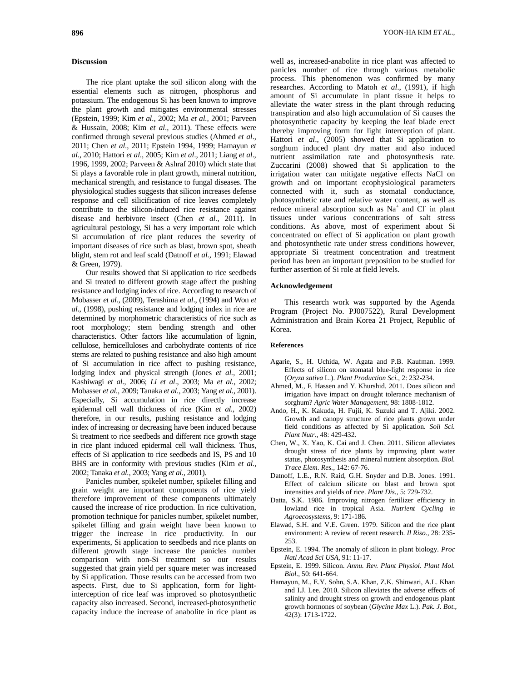## **Discussion**

The rice plant uptake the soil silicon along with the essential elements such as nitrogen, phosphorus and potassium. The endogenous Si has been known to improve the plant growth and mitigates environmental stresses (Epstein, 1999; Kim *et al.,* 2002; Ma *et al.,* 2001; Parveen & Hussain, 2008; Kim *et al*., 2011). These effects were confirmed through several previous studies (Ahmed *et al*., 2011; Chen *et al*., 2011; Epstein 1994, 1999; Hamayun *et al*., 2010; Hattori *et al*., 2005; Kim *et al*., 2011; Liang *et al*., 1996, 1999, 2002; Parveen & Ashraf 2010) which state that Si plays a favorable role in plant growth, mineral nutrition, mechanical strength, and resistance to fungal diseases. The physiological studies suggests that silicon increases defense response and cell silicification of rice leaves completely contribute to the silicon-induced rice resistance against disease and herbivore insect (Chen *et al.,* 2011). In agricultural pestology, Si has a very important role which Si accumulation of rice plant reduces the severity of important diseases of rice such as blast, brown spot, sheath blight, stem rot and leaf scald (Datnoff *et al.,* 1991; Elawad & Green, 1979).

Our results showed that Si application to rice seedbeds and Si treated to different growth stage affect the pushing resistance and lodging index of rice. According to research of Mobasser *et al*., (2009), Terashima *et al*., (1994) and Won *et al*., (1998), pushing resistance and lodging index in rice are determined by morphometric characteristics of rice such as root morphology; stem bending strength and other characteristics. Other factors like accumulation of lignin, cellulose, hemicelluloses and carbohydrate contents of rice stems are related to pushing resistance and also high amount of Si accumulation in rice affect to pushing resistance, lodging index and physical strength (Jones *et al.,* 2001; Kashiwagi *et al.,* 2006; *Li et al*., 2003; Ma *et al.,* 2002; Mobasser *et al.,* 2009; Tanaka *et al.,* 2003; Yang *et al.,* 2001). Especially, Si accumulation in rice directly increase epidermal cell wall thickness of rice (Kim *et al.,* 2002) therefore, in our results, pushing resistance and lodging index of increasing or decreasing have been induced because Si treatment to rice seedbeds and different rice growth stage in rice plant induced epidermal cell wall thickness. Thus, effects of Si application to rice seedbeds and IS, PS and 10 BHS are in conformity with previous studies (Kim *et al.,* 2002; Tanaka *et al.,* 2003; Yang *et al.,* 2001).

Panicles number, spikelet number, spikelet filling and grain weight are important components of rice yield therefore improvement of these components ultimately caused the increase of rice production. In rice cultivation, promotion technique for panicles number, spikelet number, spikelet filling and grain weight have been known to trigger the increase in rice productivity. In our experiments, Si application to seedbeds and rice plants on different growth stage increase the panicles number comparison with non-Si treatment so our results suggested that grain yield per square meter was increased by Si application. Those results can be accessed from two aspects. First, due to Si application, form for lightinterception of rice leaf was improved so photosynthetic capacity also increased. Second, increased-photosynthetic capacity induce the increase of anabolite in rice plant as

well as, increased-anabolite in rice plant was affected to panicles number of rice through various metabolic process. This phenomenon was confirmed by many researches. According to Matoh *et al*., (1991), if high amount of Si accumulate in plant tissue it helps to alleviate the water stress in the plant through reducing transpiration and also high accumulation of Si causes the photosynthetic capacity by keeping the leaf blade erect thereby improving form for light interception of plant. Hattori *et al*., (2005) showed that Si application to sorghum induced plant dry matter and also induced nutrient assimilation rate and photosynthesis rate. Zuccarini (2008) showed that Si application to the irrigation water can mitigate negative effects NaCl on growth and on important ecophysiological parameters connected with it, such as stomatal conductance, photosynthetic rate and relative water content, as well as reduce mineral absorption such as  $Na<sup>+</sup>$  and Cl in plant tissues under various concentrations of salt stress conditions. As above, most of experiment about Si concentrated on effect of Si application on plant growth and photosynthetic rate under stress conditions however, appropriate Si treatment concentration and treatment period has been an important preposition to be studied for further assertion of Si role at field levels.

### **Acknowledgement**

This research work was supported by the Agenda Program (Project No. PJ007522), Rural Development Administration and Brain Korea 21 Project, Republic of Korea.

### **References**

- Agarie, S., H. Uchida, W. Agata and P.B. Kaufman. 1999. Effects of silicon on stomatal blue-light response in rice (*Oryza sativa* L.). *Plant Production Sci.,* 2: 232-234.
- Ahmed, M., F. Hassen and Y. Khurshid. 2011. Does silicon and irrigation have impact on drought tolerance mechanism of sorghum? *Agric Water Management*, 98: 1808-1812.
- Ando, H., K. Kakuda, H. Fujii, K. Suzuki and T. Ajiki. 2002. Growth and canopy structure of rice plants grown under field conditions as affected by Si application. *Soil Sci. Plant Nutr.*, 48: 429-432.
- Chen, W., X. Yao, K. Cai and J. Chen. 2011. Silicon alleviates drought stress of rice plants by improving plant water status, photosynthesis and mineral nutrient absorption. *Biol. Trace Elem. Res.,* 142: 67-76.
- Datnoff, L.E., R.N. Raid, G.H. Snyder and D.B. Jones. 1991. Effect of calcium silicate on blast and brown spot intensities and yields of rice. *Plant Dis.,* 5: 729-732.
- Datta, S.K. 1986. Improving nitrogen fertilizer efficiency in lowland rice in tropical Asia. *Nutrient Cycling in Agroecosystems,* 9: 171-186.
- Elawad, S.H. and V.E. Green. 1979. Silicon and the rice plant environment: A review of recent research. *Il Riso.,* 28: 235- 253.
- Epstein, E. 1994. The anomaly of silicon in plant biology. *Proc Natl Acad Sci USA,* 91: 11-17.
- Epstein, E. 1999. Silicon. *Annu. Rev. Plant Physiol. Plant Mol. Biol*., 50: 641-664.
- Hamayun, M., E.Y. Sohn, S.A. Khan, Z.K. Shinwari, A.L. Khan and I.J. Lee. 2010. Silicon alleviates the adverse effects of salinity and drought stress on growth and endogenous plant growth hormones of soybean (*Glycine Max* L.). *Pak. J. Bot*., 42(3): 1713-1722.